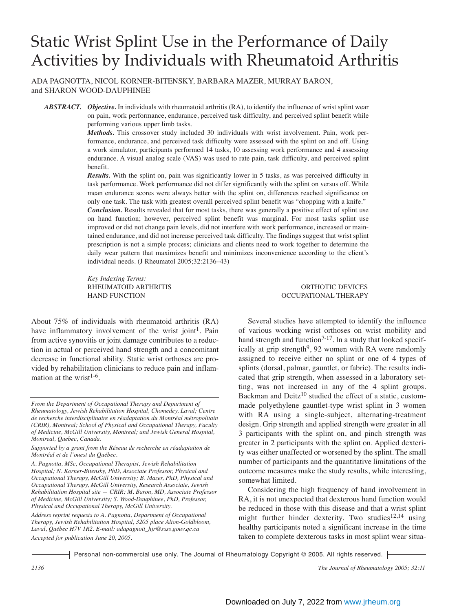# Static Wrist Splint Use in the Performance of Daily Activities by Individuals with Rheumatoid Arthritis

ADA PAGNOTTA, NICOL KORNER-BITENSKY, BARBARA MAZER, MURRAY BARON, and SHARON WOOD-DAUPHINEE

*ABSTRACT. Objective.* In individuals with rheumatoid arthritis (RA), to identify the influence of wrist splint wear on pain, work performance, endurance, perceived task difficulty, and perceived splint benefit while performing various upper limb tasks.

> *Methods.* This crossover study included 30 individuals with wrist involvement. Pain, work performance, endurance, and perceived task difficulty were assessed with the splint on and off. Using a work simulator, participants performed 14 tasks, 10 assessing work performance and 4 assessing endurance. A visual analog scale (VAS) was used to rate pain, task difficulty, and perceived splint benefit.

> *Results.* With the splint on, pain was significantly lower in 5 tasks, as was perceived difficulty in task performance. Work performance did not differ significantly with the splint on versus off. While mean endurance scores were always better with the splint on, differences reached significance on only one task. The task with greatest overall perceived splint benefit was "chopping with a knife." *Conclusion.* Results revealed that for most tasks, there was generally a positive effect of splint use on hand function; however, perceived splint benefit was marginal. For most tasks splint use improved or did not change pain levels, did not interfere with work performance, increased or maintained endurance, and did not increase perceived task difficulty. The findings suggest that wrist splint prescription is not a simple process; clinicians and clients need to work together to determine the daily wear pattern that maximizes benefit and minimizes inconvenience according to the client's individual needs. (J Rheumatol 2005;32:2136–43)

> *Key Indexing Terms:* RHEUMATOID ARTHRITIS ORTHOTIC DEVICES HAND FUNCTION OCCUPATIONAL THERAPY

About 75% of individuals with rheumatoid arthritis (RA) have inflammatory involvement of the wrist joint<sup>1</sup>. Pain from active synovitis or joint damage contributes to a reduction in actual or perceived hand strength and a concomitant decrease in functional ability. Static wrist orthoses are provided by rehabilitation clinicians to reduce pain and inflammation at the wrist<sup>1-6</sup>.

Several studies have attempted to identify the influence of various working wrist orthoses on wrist mobility and hand strength and function<sup> $7-17$ </sup>. In a study that looked specifically at grip strength<sup>9</sup>, 92 women with RA were randomly assigned to receive either no splint or one of 4 types of splints (dorsal, palmar, gauntlet, or fabric). The results indicated that grip strength, when assessed in a laboratory setting, was not increased in any of the 4 splint groups. Backman and  $Deitz<sup>10</sup>$  studied the effect of a static, custommade polyethylene gauntlet-type wrist splint in 3 women with RA using a single-subject, alternating-treatment design. Grip strength and applied strength were greater in all 3 participants with the splint on, and pinch strength was greater in 2 participants with the splint on. Applied dexterity was either unaffected or worsened by the splint. The small number of participants and the quantitative limitations of the outcome measures make the study results, while interesting, somewhat limited.

Considering the high frequency of hand involvement in RA, it is not unexpected that dexterous hand function would be reduced in those with this disease and that a wrist splint might further hinder dexterity. Two studies<sup>12,14</sup> using healthy participants noted a significant increase in the time taken to complete dexterous tasks in most splint wear situa-

*From the Department of Occupational Therapy and Department of Rheumatology, Jewish Rehabilitation Hospital, Chomedey, Laval; Centre de recherche interdisciplinaire en réadaptation du Montréal métropolitain (CRIR), Montreal; School of Physical and Occupational Therapy, Faculty of Medicine, McGill University, Montreal; and Jewish General Hospital, Montreal, Quebec, Canada.*

*Supported by a grant from the Réseau de recherche en réadaptation de Montréal et de l'ouest du Québec.*

*A. Pagnotta, MSc, Occupational Therapist, Jewish Rehabilitation Hospital; N. Korner-Bitensky, PhD, Associate Professor, Physical and Occupational Therapy, McGill University; B. Mazer, PhD, Physical and Occupational Therapy, McGill University, Research Associate, Jewish Rehabilitation Hospital site — CRIR; M. Baron, MD, Associate Professor of Medicine, McGill University; S. Wood-Dauphinee, PhD, Professor, Physical and Occupational Therapy, McGill University.*

*Address reprint requests to A. Pagnotta, Department of Occupational Therapy, Jewish Rehabilitation Hospital, 3205 place Alton-Goldbloom, Laval, Québec H7V 1R2. E-mail: adapagnott\_hjr@ssss.gouv.qc.ca Accepted for publication June 20, 2005.*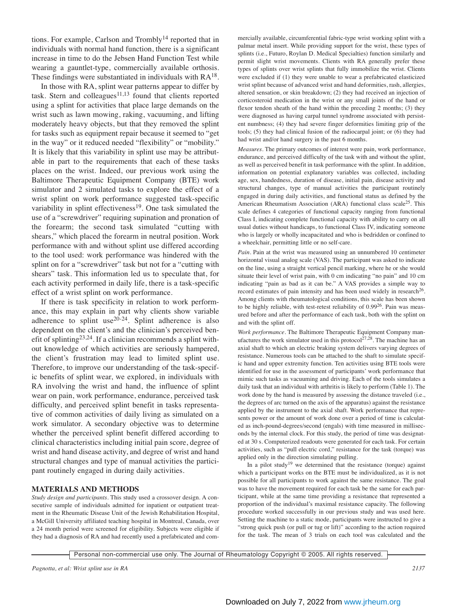tions. For example, Carlson and Trombly<sup>14</sup> reported that in individuals with normal hand function, there is a significant increase in time to do the Jebsen Hand Function Test while wearing a gauntlet-type, commercially available orthosis. These findings were substantiated in individuals with  $RA^{18}$ .

In those with RA, splint wear patterns appear to differ by task. Stern and colleagues $11,13$  found that clients reported using a splint for activities that place large demands on the wrist such as lawn mowing, raking, vacuuming, and lifting moderately heavy objects, but that they removed the splint for tasks such as equipment repair because it seemed to "get in the way" or it reduced needed "flexibility" or "mobility." It is likely that this variability in splint use may be attributable in part to the requirements that each of these tasks places on the wrist. Indeed, our previous work using the Baltimore Therapeutic Equipment Company (BTE) work simulator and 2 simulated tasks to explore the effect of a wrist splint on work performance suggested task-specific variability in splint effectiveness<sup>19</sup>. One task simulated the use of a "screwdriver" requiring supination and pronation of the forearm; the second task simulated "cutting with shears," which placed the forearm in neutral position. Work performance with and without splint use differed according to the tool used: work performance was hindered with the splint on for a "screwdriver" task but not for a "cutting with shears" task*.* This information led us to speculate that, for each activity performed in daily life, there is a task-specific effect of a wrist splint on work performance.

If there is task specificity in relation to work performance, this may explain in part why clients show variable adherence to splint use $20-24$ . Splint adherence is also dependent on the client's and the clinician's perceived benefit of splinting<sup>23,24</sup>. If a clinician recommends a splint without knowledge of which activities are seriously hampered, the client's frustration may lead to limited splint use. Therefore, to improve our understanding of the task-specific benefits of splint wear, we explored, in individuals with RA involving the wrist and hand, the influence of splint wear on pain, work performance, endurance, perceived task difficulty, and perceived splint benefit in tasks representative of common activities of daily living as simulated on a work simulator. A secondary objective was to determine whether the perceived splint benefit differed according to clinical characteristics including initial pain score, degree of wrist and hand disease activity, and degree of wrist and hand structural changes and type of manual activities the participant routinely engaged in during daily activities.

# **MATERIALS AND METHODS**

*Study design and participants.* This study used a crossover design. A consecutive sample of individuals admitted for inpatient or outpatient treatment in the Rheumatic Disease Unit of the Jewish Rehabilitation Hospital, a McGill University affiliated teaching hospital in Montreal, Canada, over a 24 month period were screened for eligibility. Subjects were eligible if they had a diagnosis of RA and had recently used a prefabricated and commercially available, circumferential fabric-type wrist working splint with a palmar metal insert. While providing support for the wrist, these types of splints (i.e., Futuro, Roylan D. Medical Specialties) function similarly and permit slight wrist movements. Clients with RA generally prefer these types of splints over wrist splints that fully immobilize the wrist. Clients were excluded if (1) they were unable to wear a prefabricated elasticized wrist splint because of advanced wrist and hand deformities, rash, allergies, altered sensation, or skin breakdown; (2) they had received an injection of corticosteroid medication in the wrist or any small joints of the hand or flexor tendon sheath of the hand within the preceding 2 months; (3) they were diagnosed as having carpal tunnel syndrome associated with persistent numbness; (4) they had severe finger deformities limiting grip of the tools; (5) they had clinical fusion of the radiocarpal joint; or (6) they had had wrist and/or hand surgery in the past 6 months.

*Measures.* The primary outcomes of interest were pain, work performance, endurance, and perceived difficulty of the task with and without the splint, as well as perceived benefit in task performance with the splint. In addition, information on potential explanatory variables was collected, including age, sex, handedness, duration of disease, initial pain, disease activity and structural changes, type of manual activities the participant routinely engaged in during daily activities, and functional status as defined by the American Rheumatism Association (ARA) functional class scale25. This scale defines 4 categories of functional capacity ranging from functional Class I, indicating complete functional capacity with ability to carry on all usual duties without handicaps, to functional Class IV, indicating someone who is largely or wholly incapacitated and who is bedridden or confined to a wheelchair, permitting little or no self-care.

*Pain*. Pain at the wrist was measured using an unnumbered 10 centimeter horizontal visual analog scale (VAS). The participant was asked to indicate on the line, using a straight vertical pencil marking, where he or she would situate their level of wrist pain, with 0 cm indicating "no pain" and 10 cm indicating "pain as bad as it can be." A VAS provides a simple way to record estimates of pain intensity and has been used widely in research<sup>26</sup>. Among clients with rheumatological conditions, this scale has been shown to be highly reliable, with test-retest reliability of  $0.99^{26}$ . Pain was measured before and after the performance of each task, both with the splint on and with the splint off.

*Work performance.* The Baltimore Therapeutic Equipment Company manufactures the work simulator used in this protocol<sup>27,28</sup>. The machine has an axial shaft to which an electric braking system delivers varying degrees of resistance. Numerous tools can be attached to the shaft to simulate specific hand and upper extremity function. Ten activities using BTE tools were identified for use in the assessment of participants' work performance that mimic such tasks as vacuuming and driving. Each of the tools simulates a daily task that an individual with arthritis is likely to perform (Table 1). The work done by the hand is measured by assessing the distance traveled (i.e., the degrees of arc turned on the axis of the apparatus) against the resistance applied by the instrument to the axial shaft. Work performance that represents power or the amount of work done over a period of time is calculated as inch-pound-degrees/second (engals) with time measured in milliseconds by the internal clock. For this study, the period of time was designated at 30 s. Computerized readouts were generated for each task. For certain activities, such as "pull electric cord," resistance for the task (torque) was applied only in the direction simulating pulling.

In a pilot study<sup>19</sup> we determined that the resistance (torque) against which a participant works on the BTE must be individualized, as it is not possible for all participants to work against the same resistance. The goal was to have the movement required for each task be the same for each participant, while at the same time providing a resistance that represented a proportion of the individual's maximal resistance capacity. The following procedure worked successfully in our previous study and was used here. Setting the machine to a static mode, participants were instructed to give a "strong quick push (or pull or tug or lift)" according to the action required for the task. The mean of 3 trials on each tool was calculated and the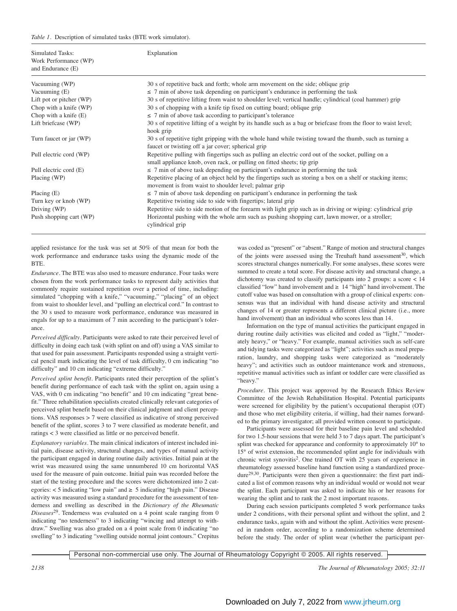### *Table 1.* Description of simulated tasks (BTE work simulator).

| Simulated Tasks:<br>Work Performance (WP)<br>and Endurance (E) | Explanation                                                                                                                                                                   |
|----------------------------------------------------------------|-------------------------------------------------------------------------------------------------------------------------------------------------------------------------------|
| Vacuuming (WP)                                                 | 30 s of repetitive back and forth; whole arm movement on the side; oblique grip                                                                                               |
| Vacuuming (E)                                                  | $\leq$ 7 min of above task depending on participant's endurance in performing the task                                                                                        |
| Lift pot or pitcher (WP)                                       | 30 s of repetitive lifting from waist to shoulder level; vertical handle; cylindrical (coal hammer) grip                                                                      |
| Chop with a knife (WP)                                         | 30 s of chopping with a knife tip fixed on cutting board; oblique grip                                                                                                        |
| Chop with a knife $(E)$                                        | $\leq$ 7 min of above task according to participant's tolerance                                                                                                               |
| Lift briefcase (WP)                                            | 30 s of repetitive lifting of a weight by its handle such as a bag or briefcase from the floor to waist level;<br>hook grip                                                   |
| Turn faucet or jar (WP)                                        | 30 s of repetitive tight gripping with the whole hand while twisting toward the thumb, such as turning a<br>faucet or twisting off a jar cover; spherical grip                |
| Pull electric cord (WP)                                        | Repetitive pulling with fingertips such as pulling an electric cord out of the socket, pulling on a<br>small appliance knob, oven rack, or pulling on fitted sheets; tip grip |
| Pull electric cord (E)                                         | $\leq$ 7 min of above task depending on participant's endurance in performing the task                                                                                        |
| Placing (WP)                                                   | Repetitive placing of an object held by the fingertips such as storing a box on a shelf or stacking items;<br>movement is from waist to shoulder level; palmar grip           |
| Placing $(E)$                                                  | $\leq$ 7 min of above task depending on participant's endurance in performing the task                                                                                        |
| Turn key or knob (WP)                                          | Repetitive twisting side to side with fingertips; lateral grip                                                                                                                |
| Driving (WP)                                                   | Repetitive side to side motion of the forearm with light grip such as in driving or wiping: cylindrical grip                                                                  |
| Push shopping cart (WP)                                        | Horizontal pushing with the whole arm such as pushing shopping cart, lawn mower, or a stroller;<br>cylindrical grip                                                           |

applied resistance for the task was set at 50% of that mean for both the work performance and endurance tasks using the dynamic mode of the BTE.

*Endurance*. The BTE was also used to measure endurance. Four tasks were chosen from the work performance tasks to represent daily activities that commonly require sustained repetition over a period of time, including: simulated "chopping with a knife," "vacuuming," "placing" of an object from waist to shoulder level, and "pulling an electrical cord." In contrast to the 30 s used to measure work performance, endurance was measured in engals for up to a maximum of 7 min according to the participant's tolerance.

*Perceived difficulty*. Participants were asked to rate their perceived level of difficulty in doing each task (with splint on and off) using a VAS similar to that used for pain assessment. Participants responded using a straight vertical pencil mark indicating the level of task difficulty, 0 cm indicating "no difficulty" and 10 cm indicating "extreme difficulty."

*Perceived splint benefit.* Participants rated their perception of the splint's benefit during performance of each task with the splint on, again using a VAS, with 0 cm indicating "no benefit" and 10 cm indicating "great benefit." Three rehabilitation specialists created clinically relevant categories of perceived splint benefit based on their clinical judgment and client perceptions. VAS responses > 7 were classified as indicative of strong perceived benefit of the splint, scores 3 to 7 were classified as moderate benefit, and ratings < 3 were classified as little or no perceived benefit.

*Explanatory variables.* The main clinical indicators of interest included initial pain, disease activity, structural changes, and types of manual activity the participant engaged in during routine daily activities. Initial pain at the wrist was measured using the same unnumbered 10 cm horizontal VAS used for the measure of pain outcome. Initial pain was recorded before the start of the testing procedure and the scores were dichotomized into 2 categories:  $<$  5 indicating "low pain" and  $\geq$  5 indicating "high pain." Disease activity was measured using a standard procedure for the assessment of tenderness and swelling as described in the *Dictionary of the Rheumatic Diseases*29. Tenderness was evaluated on a 4 point scale ranging from 0 indicating "no tenderness" to 3 indicating "wincing and attempt to withdraw." Swelling was also graded on a 4 point scale from 0 indicating "no swelling" to 3 indicating "swelling outside normal joint contours." Crepitus was coded as "present" or "absent." Range of motion and structural changes of the joints were assessed using the Treuhaft hand assessment<sup>30</sup>, which scores structural changes numerically. For some analyses, these scores were summed to create a total score. For disease activity and structural change, a dichotomy was created to classify participants into 2 groups: a score < 14 classified "low" hand involvement and  $\geq 14$  "high" hand involvement. The cutoff value was based on consultation with a group of clinical experts: consensus was that an individual with hand disease activity and structural changes of 14 or greater represents a different clinical picture (i.e., more hand involvement) than an individual who scores less than 14.

Information on the type of manual activities the participant engaged in during routine daily activities was elicited and coded as "light," "moderately heavy," or "heavy." For example, manual activities such as self-care and tidying tasks were categorized as "light"; activities such as meal preparation, laundry, and shopping tasks were categorized as "moderately heavy"; and activities such as outdoor maintenance work and strenuous, repetitive manual activities such as infant or toddler care were classified as "heavy."

*Procedure.* This project was approved by the Research Ethics Review Committee of the Jewish Rehabilitation Hospital. Potential participants were screened for eligibility by the patient's occupational therapist (OT) and those who met eligibility criteria, if willing, had their names forwarded to the primary investigator; all provided written consent to participate.

Participants were assessed for their baseline pain level and scheduled for two 1.5-hour sessions that were held 3 to 7 days apart. The participant's splint was checked for appearance and conformity to approximately 10° to 15° of wrist extension, the recommended splint angle for individuals with chronic wrist synovitis<sup>2</sup>. One trained OT with 25 years of experience in rheumatology assessed baseline hand function using a standardized procedure29,30. Participants were then given a questionnaire: the first part indicated a list of common reasons why an individual would or would not wear the splint. Each participant was asked to indicate his or her reasons for wearing the splint and to rank the 2 most important reasons.

During each session participants completed 5 work performance tasks under 2 conditions, with their personal splint and without the splint, and 2 endurance tasks, again with and without the splint. Activities were presented in random order, according to a randomization scheme determined before the study. The order of splint wear (whether the participant per-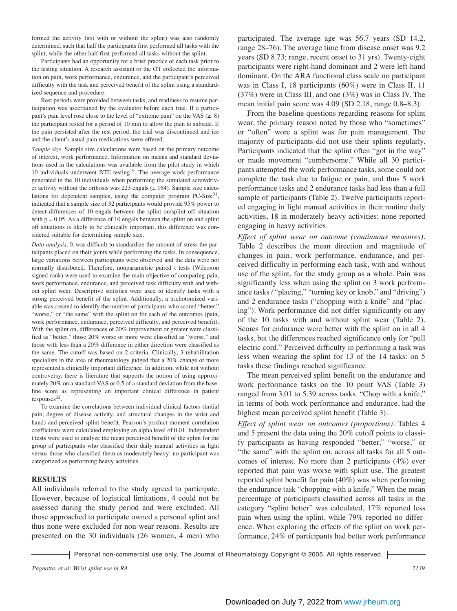formed the activity first with or without the splint) was also randomly determined, such that half the participants first performed all tasks with the splint, while the other half first performed all tasks without the splint.

Participants had an opportunity for a brief practice of each task prior to the testing situation. A research assistant or the OT collected the information on pain, work performance, endurance, and the participant's perceived difficulty with the task and perceived benefit of the splint using a standardized sequence and procedure.

Rest periods were provided between tasks, and readiness to resume participation was ascertained by the evaluator before each trial. If a participant's pain level rose close to the level of "extreme pain" on the VAS ( $\geq 8$ ) the participant rested for a period of 10 min to allow the pain to subside. If the pain persisted after the rest period, the trial was discontinued and ice and the client's usual pain medications were offered.

*Sample size.* Sample size calculations were based on the primary outcome of interest, work performance. Information on means and standard deviations used in the calculations was available from the pilot study in which 10 individuals underwent BTE testing<sup>19</sup>. The average work performance generated in the 10 individuals when performing the simulated screwdriver activity without the orthosis was  $223$  engals ( $\pm 164$ ). Sample size calculations for dependent samples, using the computer program  $PC-Size^{31}$ , indicated that a sample size of 32 participants would provide 95% power to detect differences of 10 engals between the splint on/splint off situation with  $p = 0.05$ . As a difference of 10 engals between the splint on and splint off situations is likely to be clinically important, this difference was considered suitable for determining sample size.

*Data analysis.* It was difficult to standardize the amount of stress the participants placed on their joints while performing the tasks. In consequence, large variations between participants were observed and the data were not normally distributed. Therefore, nonparametric paired t tests (Wilcoxon signed-rank) were used to examine the main objective of comparing pain, work performance, endurance, and perceived task difficulty with and without splint wear. Descriptive statistics were used to identify tasks with a strong perceived benefit of the splint. Additionally, a trichotomized variable was created to identify the number of participants who scored "better," "worse," or "the same" with the splint on for each of the outcomes (pain, work performance, endurance, perceived difficulty, and perceived benefit). With the splint on, differences of 20% improvement or greater were classified as "better," those 20% worse or more were classified as "worse," and those with less than a 20% difference in either direction were classified as the same. The cutoff was based on 2 criteria. Clinically, 3 rehabilitation specialists in the area of rheumatology judged that a 20% change or more represented a clinically important difference. In addition, while not without controversy, there is literature that supports the notion of using approximately 20% on a standard VAS or 0.5 of a standard deviation from the baseline score as representing an important clinical difference in patient  $responents<sup>32</sup>$ .

To examine the correlations between individual clinical factors (initial pain, degree of disease activity, and structural changes in the wrist and hand) and perceived splint benefit, Pearson's product moment correlation coefficients were calculated employing an alpha level of 0.01. Independent t tests were used to analyze the mean perceived benefit of the splint for the group of participants who classified their daily manual activities as light versus those who classified them as moderately heavy: no participant was categorized as performing heavy activities.

# **RESULTS**

All individuals referred to the study agreed to participate. However, because of logistical limitations, 4 could not be assessed during the study period and were excluded. All those approached to participate owned a personal splint and thus none were excluded for non-wear reasons. Results are presented on the 30 individuals (26 women, 4 men) who participated. The average age was 56.7 years (SD 14.2, range 28–76). The average time from disease onset was 9.2 years (SD 8.73; range, recent onset to 31 yrs). Twenty-eight participants were right-hand dominant and 2 were left-hand dominant. On the ARA functional class scale no participant was in Class I, 18 participants (60%) were in Class II, 11 (37%) were in Class III, and one (3%) was in Class IV. The mean initial pain score was 4.09 (SD 2.18, range 0.8–8.3).

From the baseline questions regarding reasons for splint wear, the primary reason noted by those who "sometimes" or "often" wore a splint was for pain management. The majority of participants did not use their splints regularly. Participants indicated that the splint often "got in the way" or made movement "cumbersome." While all 30 participants attempted the work performance tasks, some could not complete the task due to fatigue or pain, and thus 5 work performance tasks and 2 endurance tasks had less than a full sample of participants (Table 2). Twelve participants reported engaging in light manual activities in their routine daily activities, 18 in moderately heavy activities; none reported engaging in heavy activities.

*Effect of splint wear on outcome (continuous measures).* Table 2 describes the mean direction and magnitude of changes in pain, work performance, endurance, and perceived difficulty in performing each task, with and without use of the splint, for the study group as a whole. Pain was significantly less when using the splint on 3 work performance tasks *("*placing," "turning key or knob," and "driving") and 2 endurance tasks ("chopping with a knife" and "placing"). Work performance did not differ significantly on any of the 10 tasks with and without splint wear (Table 2). Scores for endurance were better with the splint on in all 4 tasks, but the differences reached significance only for "pull electric cord." Perceived difficulty in performing a task was less when wearing the splint for 13 of the 14 tasks: on 5 tasks these findings reached significance.

The mean perceived splint benefit on the endurance and work performance tasks on the 10 point VAS (Table 3) ranged from 3.01 to 5.39 across tasks. "Chop with a knife," in terms of both work performance and endurance, had the highest mean perceived splint benefit (Table 3).

*Effect of splint wear on outcomes (proportions).* Tables 4 and 5 present the data using the 20% cutoff points to classify participants as having responded "better," "worse," or "the same" with the splint on, across all tasks for all 5 outcomes of interest. No more than 2 participants (4%) ever reported that pain was worse with splint use. The greatest reported splint benefit for pain (40%) was when performing the endurance task "chopping with a knife." When the mean percentage of participants classified across all tasks in the category "splint better" was calculated, 17% reported less pain when using the splint, while 79% reported no difference. When exploring the effects of the splint on work performance, 24% of participants had better work performance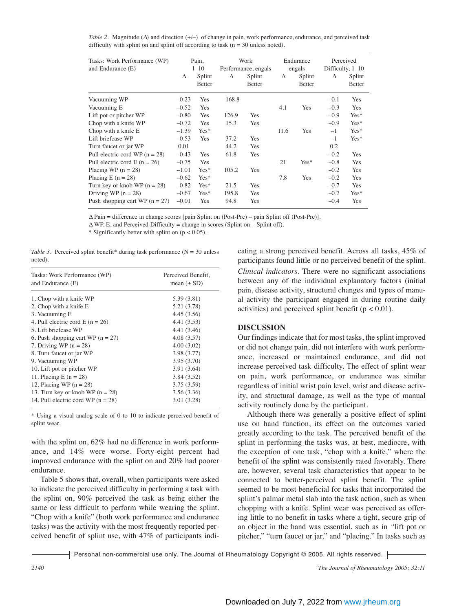*Table 2.* Magnitude (∆) and direction (+/–) of change in pain, work performance, endurance, and perceived task difficulty with splint on and splint off according to task (n = 30 unless noted).

| Tasks: Work Performance (WP)<br>and Endurance (E) | Pain,<br>$1 - 10$ |                         | Work<br>Performance, engals |                         | Endurance<br>engals |                         | Perceived<br>Difficulty, $1-10$ |                         |
|---------------------------------------------------|-------------------|-------------------------|-----------------------------|-------------------------|---------------------|-------------------------|---------------------------------|-------------------------|
|                                                   | Δ                 | Splint<br><b>Better</b> | Δ                           | Splint<br><b>Better</b> | Δ                   | Splint<br><b>Better</b> | Δ                               | Splint<br><b>Better</b> |
| Vacuuming WP                                      | $-0.23$           | Yes                     | $-168.8$                    |                         |                     |                         | $-0.1$                          | Yes                     |
| Vacuuming E                                       | $-0.52$           | Yes                     |                             |                         | 4.1                 | Yes                     | $-0.3$                          | Yes                     |
| Lift pot or pitcher WP                            | $-0.80$           | Yes                     | 126.9                       | Yes                     |                     |                         | $-0.9$                          | Yes*                    |
| Chop with a knife WP                              | $-0.72$           | Yes                     | 15.3                        | Yes                     |                     |                         | $-0.9$                          | $Yes*$                  |
| Chop with a knife E                               | $-1.39$           | $Yes*$                  |                             |                         | 11.6                | Yes                     | $-1$                            | $Yes*$                  |
| Lift briefcase WP                                 | $-0.53$           | Yes                     | 37.2                        | Yes                     |                     |                         | $-1$                            | $Yes*$                  |
| Turn faucet or jar WP                             | 0.01              |                         | 44.2                        | Yes                     |                     |                         | 0.2                             |                         |
| Pull electric cord WP $(n = 28)$                  | $-0.43$           | Yes                     | 61.8                        | Yes                     |                     |                         | $-0.2$                          | Yes                     |
| Pull electric cord E $(n = 26)$                   | $-0.75$           | Yes                     |                             |                         | 21                  | Yes*                    | $-0.8$                          | Yes                     |
| Placing WP $(n = 28)$                             | $-1.01$           | $Yes*$                  | 105.2                       | Yes                     |                     |                         | $-0.2$                          | Yes                     |
| Placing E $(n = 28)$                              | $-0.62$           | $Yes*$                  |                             |                         | 7.8                 | Yes                     | $-0.2$                          | Yes                     |
| Turn key or knob WP $(n = 28)$                    | $-0.82$           | $Yes*$                  | 21.5                        | Yes                     |                     |                         | $-0.7$                          | Yes                     |
| Driving WP $(n = 28)$                             | $-0.67$           | $Yes*$                  | 195.8                       | Yes                     |                     |                         | $-0.7$                          | $Yes*$                  |
| Push shopping cart WP $(n = 27)$                  | $-0.01$           | Yes                     | 94.8                        | Yes                     |                     |                         | $-0.4$                          | Yes                     |

∆ Pain = difference in change scores [pain Splint on (Post-Pre) – pain Splint off (Post-Pre)].

 $\Delta$ WP, E, and Perceived Difficulty = change in scores (Splint on – Splint off).

\* Significantly better with splint on  $(p < 0.05)$ .

*Table 3.* Perceived splint benefit\* during task performance ( $N = 30$  unless noted).

| Tasks: Work Performance (WP)<br>and Endurance (E) | Perceived Benefit,<br>mean $(\pm SD)$ |  |  |  |  |
|---------------------------------------------------|---------------------------------------|--|--|--|--|
| 1. Chop with a knife WP                           | 5.39 (3.81)                           |  |  |  |  |
| 2. Chop with a knife E                            | 5.21 (3.78)                           |  |  |  |  |
| 3. Vacuuming E                                    | 4.45 (3.56)                           |  |  |  |  |
| 4. Pull electric cord E $(n = 26)$                | 4.41 (3.53)                           |  |  |  |  |
| 5. Lift briefcase WP                              | 4.41 (3.46)                           |  |  |  |  |
| 6. Push shopping cart WP $(n = 27)$               | 4.08(3.57)                            |  |  |  |  |
| 7. Driving WP $(n = 28)$                          | 4.00(3.02)                            |  |  |  |  |
| 8. Turn faucet or jar WP                          | 3.98 (3.77)                           |  |  |  |  |
| 9. Vacuuming WP                                   | 3.95(3.70)                            |  |  |  |  |
| 10. Lift pot or pitcher WP                        | 3.91(3.64)                            |  |  |  |  |
| 11. Placing $E(n = 28)$                           | 3.84(3.52)                            |  |  |  |  |
| 12. Placing WP $(n = 28)$                         | 3.75(3.59)                            |  |  |  |  |
| 13. Turn key or knob WP $(n = 28)$                | 3.56(3.36)                            |  |  |  |  |
| 14. Pull electric cord WP $(n = 28)$              | 3.01 (3.28)                           |  |  |  |  |

\* Using a visual analog scale of 0 to 10 to indicate perceived benefit of splint wear.

with the splint on, 62% had no difference in work performance, and 14% were worse. Forty-eight percent had improved endurance with the splint on and 20% had poorer endurance.

Table 5 shows that, overall, when participants were asked to indicate the perceived difficulty in performing a task with the splint on, 90% perceived the task as being either the same or less difficult to perform while wearing the splint. "Chop with a knife" (both work performance and endurance tasks) was the activity with the most frequently reported perceived benefit of splint use, with 47% of participants indicating a strong perceived benefit. Across all tasks, 45% of participants found little or no perceived benefit of the splint. *Clinical indicators*. There were no significant associations between any of the individual explanatory factors (initial pain, disease activity, structural changes and types of manual activity the participant engaged in during routine daily activities) and perceived splint benefit ( $p < 0.01$ ).

# **DISCUSSION**

Our findings indicate that for most tasks, the splint improved or did not change pain, did not interfere with work performance, increased or maintained endurance, and did not increase perceived task difficulty. The effect of splint wear on pain, work performance, or endurance was similar regardless of initial wrist pain level, wrist and disease activity, and structural damage, as well as the type of manual activity routinely done by the participant.

Although there was generally a positive effect of splint use on hand function, its effect on the outcomes varied greatly according to the task. The perceived benefit of the splint in performing the tasks was, at best, mediocre, with the exception of one task, "chop with a knife," where the benefit of the splint was consistently rated favorably. There are, however, several task characteristics that appear to be connected to better-perceived splint benefit. The splint seemed to be most beneficial for tasks that incorporated the splint's palmar metal slab into the task action, such as when chopping with a knife. Splint wear was perceived as offering little to no benefit in tasks where a tight, secure grip of an object in the hand was essential, such as in *"*lift pot or pitcher," "turn faucet or jar," and "placing." In tasks such as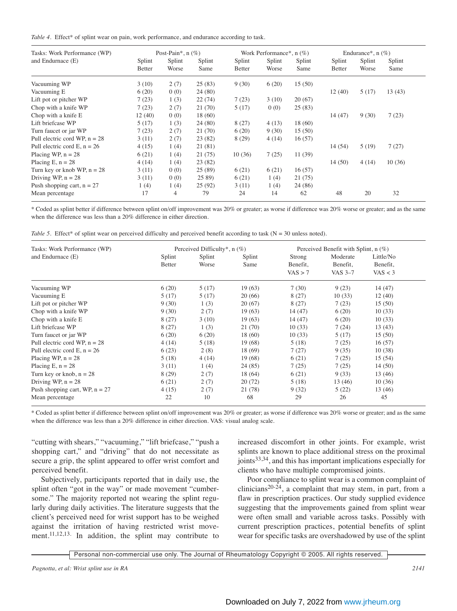| Tasks: Work Performance (WP)    | Post-Pain*, $n$ (%) |                 |                | Work Performance*, $n$ (%) |                 |                | Endurance*, $n$ (%)     |                 |                |
|---------------------------------|---------------------|-----------------|----------------|----------------------------|-----------------|----------------|-------------------------|-----------------|----------------|
| and Endurnace (E)               | Splint<br>Better    | Splint<br>Worse | Splint<br>Same | Splint<br><b>Better</b>    | Splint<br>Worse | Splint<br>Same | Splint<br><b>Better</b> | Splint<br>Worse | Splint<br>Same |
| Vacuuming WP                    | 3(10)               | 2(7)            | 25(83)         | 9(30)                      | 6(20)           | 15(50)         |                         |                 |                |
| Vacuuming E                     | 6(20)               | 0(0)            | 24(80)         |                            |                 |                | 12(40)                  | 5(17)           | 13(43)         |
| Lift pot or pitcher WP          | 7(23)               | 1(3)            | 22(74)         | 7(23)                      | 3(10)           | 20(67)         |                         |                 |                |
| Chop with a knife WP            | 7(23)               | 2(7)            | 21(70)         | 5(17)                      | 0(0)            | 25(83)         |                         |                 |                |
| Chop with a knife E             | 12(40)              | 0(0)            | 18 (60)        |                            |                 |                | 14(47)                  | 9(30)           | 7(23)          |
| Lift briefcase WP               | 5(17)               | 1(3)            | 24(80)         | 8(27)                      | 4(13)           | 18 (60)        |                         |                 |                |
| Turn faucet or jar WP           | 7(23)               | 2(7)            | 21(70)         | 6(20)                      | 9(30)           | 15(50)         |                         |                 |                |
| Pull electric cord WP, $n = 28$ | 3(11)               | 2(7)            | 23 (82)        | 8(29)                      | 4(14)           | 16(57)         |                         |                 |                |
| Pull electric cord E, $n = 26$  | 4(15)               | 1(4)            | 21 (81)        |                            |                 |                | 14(54)                  | 5(19)           | 7(27)          |
| Placing WP, $n = 28$            | 6(21)               | 1(4)            | 21(75)         | 10(36)                     | 7(25)           | 11 (39)        |                         |                 |                |
| Placing E, $n = 28$             | 4(14)               | 1(4)            | 23(82)         |                            |                 |                | 14(50)                  | 4(14)           | 10(36)         |
| Turn key or knob WP, $n = 28$   | 3(11)               | 0(0)            | 25 (89)        | 6(21)                      | 6(21)           | 16(57)         |                         |                 |                |
| Driving WP, $n = 28$            | 3(11)               | 0(0)            | 25 89)         | 6(21)                      | 1(4)            | 21(75)         |                         |                 |                |
| Push shopping cart, $n = 27$    | 1(4)                | 1(4)            | 25(92)         | 3(11)                      | 1(4)            | 24 (86)        |                         |                 |                |
| Mean percentage                 | 17                  | 4               | 79             | 24                         | 14              | 62             | 48                      | 20              | 32             |

\* Coded as splint better if difference between splint on/off improvement was 20% or greater; as worse if difference was 20% worse or greater; and as the same when the difference was less than a 20% difference in either direction.

*Table 5.* Effect\* of splint wear on perceived difficulty and perceived benefit according to task (N = 30 unless noted).

| Tasks: Work Performance (WP)     |                  | Perceived Difficulty*, $n$ (%) |                | Perceived Benefit with Splint, n (%) |                                 |                                  |  |
|----------------------------------|------------------|--------------------------------|----------------|--------------------------------------|---------------------------------|----------------------------------|--|
| and Endurnace (E)                | Splint<br>Better | Splint<br>Worse                | Splint<br>Same | Strong<br>Benefit,<br>VAS > 7        | Moderate<br>Benefit,<br>VAS 3-7 | Little/No<br>Benefit,<br>VAS < 3 |  |
| Vacuuming WP                     | 6(20)            | 5(17)                          | 19(63)         | 7(30)                                | 9(23)                           | 14(47)                           |  |
| Vacuuming E                      | 5(17)            | 5(17)                          | 20 (66)        | 8(27)                                | 10(33)                          | 12(40)                           |  |
| Lift pot or pitcher WP           | 9(30)            | 1(3)                           | 20(67)         | 8(27)                                | 7(23)                           | 15(50)                           |  |
| Chop with a knife WP             | 9(30)            | 2(7)                           | 19(63)         | 14(47)                               | 6(20)                           | 10(33)                           |  |
| Chop with a knife E              | 8(27)            | 3(10)                          | 19(63)         | 14(47)                               | 6(20)                           | 10(33)                           |  |
| Lift briefcase WP                | 8(27)            | 1(3)                           | 21 (70)        | 10(33)                               | 7(24)                           | 13(43)                           |  |
| Turn faucet or jar WP            | 6(20)            | 6(20)                          | 18 (60)        | 10(33)                               | 5(17)                           | 15(50)                           |  |
| Pull electric cord WP, $n = 28$  | 4(14)            | 5(18)                          | 19 (68)        | 5(18)                                | 7(25)                           | 16(57)                           |  |
| Pull electric cord E, $n = 26$   | 6(23)            | 2(8)                           | 18 (69)        | 7(27)                                | 9(35)                           | 10(38)                           |  |
| Placing WP, $n = 28$             | 5(18)            | 4(14)                          | 19(68)         | 6(21)                                | 7(25)                           | 15(54)                           |  |
| Placing E, $n = 28$              | 3(11)            | 1(4)                           | 24(85)         | 7(25)                                | 7(25)                           | 14(50)                           |  |
| Turn key or knob, $n = 28$       | 8(29)            | 2(7)                           | 18 (64)        | 6(21)                                | 9(33)                           | 13 (46)                          |  |
| Driving WP, $n = 28$             | 6(21)            | 2(7)                           | 20(72)         | 5(18)                                | 13(46)                          | 10(36)                           |  |
| Push shopping cart, WP, $n = 27$ | 4(15)            | 2(7)                           | 21 (78)        | 9(32)                                | 5(22)                           | 13 (46)                          |  |
| Mean percentage                  | 22               | 10                             | 68             | 29                                   | 26                              | 45                               |  |

\* Coded as splint better if difference between splint on/off improvement was 20% or greater; as worse if difference was 20% worse or greater; and as the same when the difference was less than a 20% difference in either direction. VAS: visual analog scale.

"cutting with shears," "vacuuming," "lift briefcase," "push a shopping cart," and "driving" that do not necessitate as secure a grip, the splint appeared to offer wrist comfort and perceived benefit.

Subjectively, participants reported that in daily use, the splint often "got in the way" or made movement "cumbersome." The majority reported not wearing the splint regularly during daily activities. The literature suggests that the client's perceived need for wrist support has to be weighed against the irritation of having restricted wrist movement.<sup>11,12,13.</sup> In addition, the splint may contribute to increased discomfort in other joints. For example, wrist splints are known to place additional stress on the proximal joints33,34, and this has important implications especially for clients who have multiple compromised joints.

Poor compliance to splint wear is a common complaint of clinicians<sup>20-24</sup>, a complaint that may stem, in part, from a flaw in prescription practices. Our study supplied evidence suggesting that the improvements gained from splint wear were often small and variable across tasks. Possibly with current prescription practices, potential benefits of splint wear for specific tasks are overshadowed by use of the splint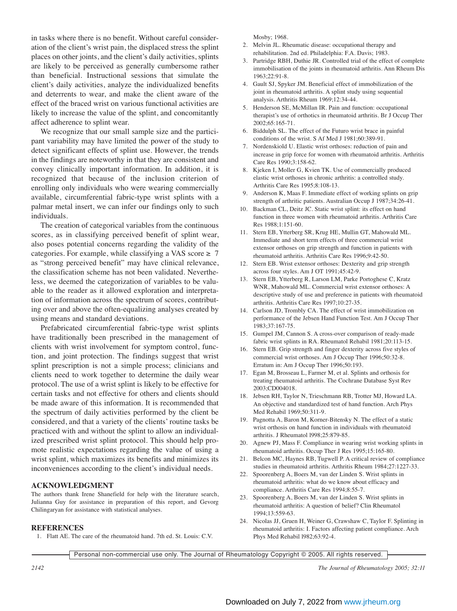in tasks where there is no benefit. Without careful consideration of the client's wrist pain, the displaced stress the splint places on other joints, and the client's daily activities, splints are likely to be perceived as generally cumbersome rather than beneficial. Instructional sessions that simulate the client's daily activities, analyze the individualized benefits and deterrents to wear, and make the client aware of the effect of the braced wrist on various functional activities are likely to increase the value of the splint, and concomitantly affect adherence to splint wear.

We recognize that our small sample size and the participant variability may have limited the power of the study to detect significant effects of splint use. However, the trends in the findings are noteworthy in that they are consistent and convey clinically important information. In addition, it is recognized that because of the inclusion criterion of enrolling only individuals who were wearing commercially available, circumferential fabric-type wrist splints with a palmar metal insert, we can infer our findings only to such individuals.

The creation of categorical variables from the continuous scores, as in classifying perceived benefit of splint wear, also poses potential concerns regarding the validity of the categories. For example, while classifying a VAS score  $\geq 7$ as "strong perceived benefit" may have clinical relevance, the classification scheme has not been validated. Nevertheless, we deemed the categorization of variables to be valuable to the reader as it allowed exploration and interpretation of information across the spectrum of scores, contributing over and above the often-equalizing analyses created by using means and standard deviations.

Prefabricated circumferential fabric-type wrist splints have traditionally been prescribed in the management of clients with wrist involvement for symptom control, function, and joint protection. The findings suggest that wrist splint prescription is not a simple process; clinicians and clients need to work together to determine the daily wear protocol. The use of a wrist splint is likely to be effective for certain tasks and not effective for others and clients should be made aware of this information. It is recommended that the spectrum of daily activities performed by the client be considered, and that a variety of the clients' routine tasks be practiced with and without the splint to allow an individualized prescribed wrist splint protocol. This should help promote realistic expectations regarding the value of using a wrist splint, which maximizes its benefits and minimizes its inconveniences according to the client's individual needs.

# **ACKNOWLEDGMENT**

The authors thank Irene Shanefield for help with the literature search, Julianna Guy for assistance in preparation of this report, and Gevorg Chilingaryan for assistance with statistical analyses.

## **REFERENCES**

1. Flatt AE. The care of the rheumatoid hand. 7th ed. St. Louis: C.V.

Mosby; 1968.

- 2. Melvin JL. Rheumatic disease: occupational therapy and rehabilitation. 2nd ed. Philadelphia: F.A. Davis; 1983.
- 3. Partridge RBH, Duthie JR. Controlled trial of the effect of complete immobilisation of the joints in rheumatoid arthritis. Ann Rheum Dis  $1963:22.91-8$
- 4. Gault SJ, Spyker JM. Beneficial effect of immobilization of the joint in rheumatoid arthritis. A splint study using sequential analysis. Arthritis Rheum 1969;12:34-44.
- 5. Henderson SE, McMillan IR. Pain and function: occupational therapist's use of orthotics in rheumatoid arthritis. Br J Occup Ther 2002;65:165-71.
- 6. Biddulph SL. The effect of the Futuro wrist brace in painful conditions of the wrist. S Af Med J 1981;60:389-91.
- 7. Nordenskiold U. Elastic wrist orthoses: reduction of pain and increase in grip force for women with rheumatoid arthritis. Arthritis Care Res 1990;3:158-62.
- 8. Kjeken I, Moller G, Kvien TK. Use of commercially produced elastic wrist orthoses in chronic arthritis: a controlled study. Arthritis Care Res 1995;8:108-13.
- 9. Anderson K, Maas F. Immediate effect of working splints on grip strength of arthritic patients. Australian Occup J 1987;34:26-41.
- 10. Backman CL, Deitz JC. Static wrist splint: its effect on hand function in three women with rheumatoid arthritis. Arthritis Care Res 1988;1:151-60.
- 11. Stern EB, Ytterberg SR, Krug HE, Mullin GT, Mahowald ML. Immediate and short term effects of three commercial wrist extensor orthoses on grip strength and function in patients with rheumatoid arthritis. Arthritis Care Res 1996;9:42-50.
- 12. Stern EB. Wrist extensor orthoses: Dexterity and grip strength across four styles. Am J OT 1991;45:42-9.
- 13. Stern EB, Ytterberg R, Larson LM, Parke Portoghese C, Kratz WNR, Mahowald ML. Commercial wrist extensor orthoses: A descriptive study of use and preference in patients with rheumatoid arthritis. Arthritis Care Res 1997;10:27-35.
- 14. Carlson JD, Trombly CA. The effect of wrist immobilization on performance of the Jebsen Hand Function Test. Am J Occup Ther 1983;37:167-75.
- 15. Gumpel JM, Cannon S. A cross-over comparison of ready-made fabric wrist splints in RA. Rheumatol Rehabil 1981;20:113-15.
- 16. Stern EB. Grip strength and finger dexterity across five styles of commercial wrist orthoses. Am J Occup Ther 1996;50:32-8. Erratum in: Am J Occup Ther 1996;50:193.
- 17. Egan M, Brosseau L, Farmer M, et al. Splints and orthosis for treating rheumatoid arthritis. The Cochrane Database Syst Rev 2003;CD004018.
- 18. Jebsen RH, Taylor N, Trieschmann RB, Trotter MJ, Howard LA. An objective and standardized test of hand function. Arch Phys Med Rehabil 1969;50:311-9.
- 19. Pagnotta A, Baron M, Korner-Bitensky N. The effect of a static wrist orthosis on hand function in individuals with rheumatoid arthritis. J Rheumatol l998;25:879-85.
- 20. Agnew PJ, Mass F. Compliance in wearing wrist working splints in rheumatoid arthritis. Occup Ther J Res 1995;15:165-80.
- 21. Belcon MC, Haynes RB, Tugwell P. A critical review of compliance studies in rheumatoid arthritis. Arthritis Rheum 1984;27:1227-33.
- 22. Spoorenberg A, Boers M, van der Linden S. Wrist splints in rheumatoid arthritis: what do we know about efficacy and compliance. Arthritis Care Res 1994;8:55-7.
- 23. Spoorenberg A, Boers M, van der Linden S. Wrist splints in rheumatoid arthritis: A question of belief? Clin Rheumatol 1994;13:559-63.
- 24. Nicolas JJ, Gruen H, Weiner G, Crawshaw C, Taylor F. Splinting in rheumatoid arthritis: I. Factors affecting patient compliance. Arch Phys Med Rehabil l982;63:92-4.